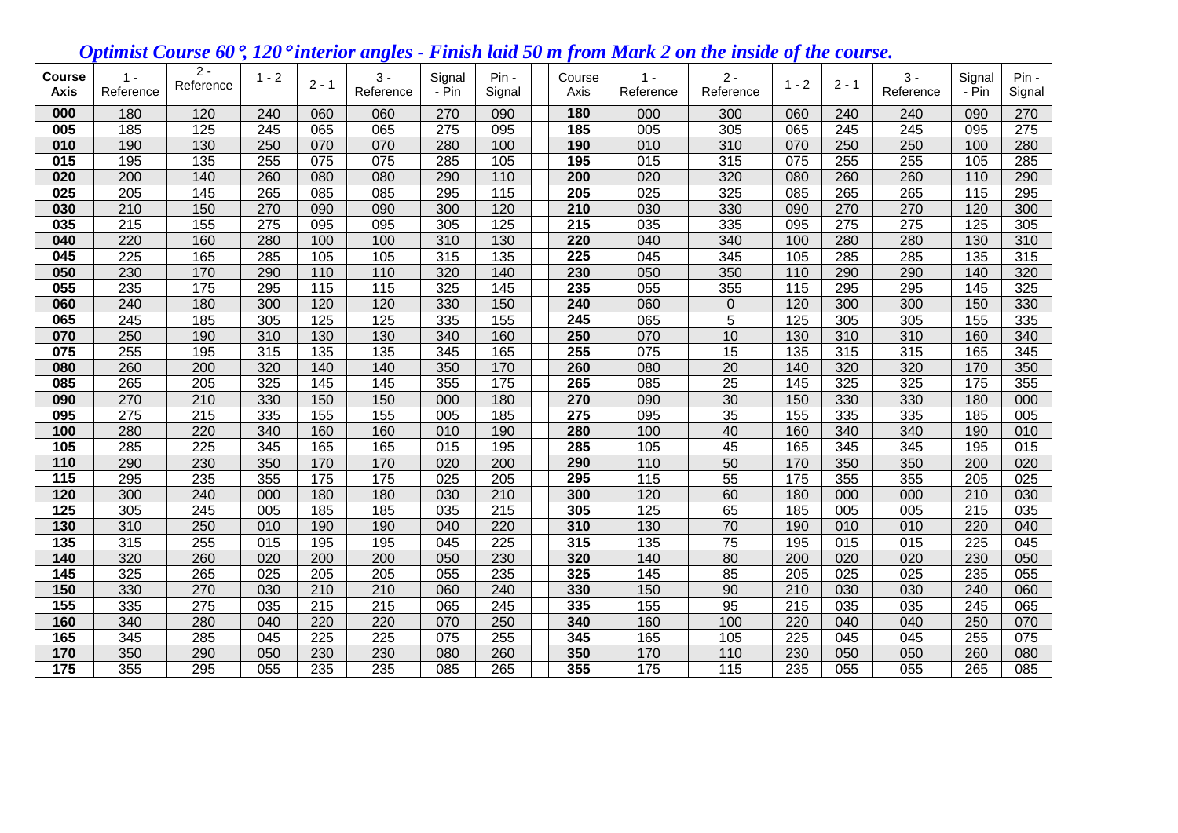## *Optimist Course 60, 120 interior angles - Finish laid 50 m from Mark 2 on the inside of the course.*

| <b>Course</b><br><b>Axis</b> | $1 -$<br>Reference | $2 -$<br>Reference | $1 - 2$          | $2 - 1$ | $3 -$<br>Reference | Signal<br>- Pin  | Pin -<br>Signal  | Course<br>Axis | $1 -$<br>Reference | $2 -$<br>Reference | $1 - 2$          | $2 - 1$ | $3 -$<br>Reference | Signal<br>- Pin  | Pin -<br>Signal |
|------------------------------|--------------------|--------------------|------------------|---------|--------------------|------------------|------------------|----------------|--------------------|--------------------|------------------|---------|--------------------|------------------|-----------------|
| 000                          | 180                | 120                | 240              | 060     | 060                | 270              | 090              | 180            | 000                | 300                | 060              | 240     | 240                | 090              | 270             |
| 005                          | 185                | 125                | 245              | 065     | 065                | 275              | 095              | 185            | 005                | 305                | 065              | 245     | 245                | 095              | 275             |
| 010                          | 190                | 130                | 250              | 070     | 070                | 280              | 100              | 190            | 010                | 310                | 070              | 250     | 250                | 100              | 280             |
| 015                          | 195                | 135                | 255              | 075     | $\overline{075}$   | 285              | 105              | 195            | 015                | 315                | 075              | 255     | 255                | 105              | 285             |
| 020                          | 200                | 140                | 260              | 080     | 080                | 290              | 110              | 200            | 020                | 320                | 080              | 260     | 260                | 110              | 290             |
| 025                          | 205                | 145                | 265              | 085     | 085                | 295              | 115              | 205            | 025                | 325                | 085              | 265     | 265                | 115              | 295             |
| 030                          | 210                | 150                | 270              | 090     | 090                | 300              | 120              | 210            | 030                | 330                | 090              | 270     | 270                | 120              | 300             |
| 035                          | 215                | 155                | 275              | 095     | 095                | 305              | 125              | 215            | 035                | 335                | 095              | 275     | 275                | 125              | 305             |
| 040                          | 220                | 160                | 280              | 100     | 100                | 310              | 130              | 220            | 040                | 340                | 100              | 280     | 280                | 130              | 310             |
| 045                          | 225                | 165                | 285              | 105     | 105                | 315              | 135              | 225            | 045                | 345                | 105              | 285     | 285                | 135              | 315             |
| 050                          | 230                | 170                | 290              | 110     | $\frac{110}{110}$  | 320              | 140              | 230            | 050                | 350                | 110              | 290     | 290                | 140              | 320             |
| 055                          | 235                | 175                | 295              | 115     | $\frac{115}{115}$  | 325              | 145              | 235            | 055                | 355                | 115              | 295     | 295                | 145              | 325             |
| 060                          | 240                | 180                | 300              | 120     | 120                | 330              | 150              | 240            | 060                | $\boldsymbol{0}$   | 120              | 300     | 300                | 150              | 330             |
| 065                          | 245                | 185                | 305              | 125     | 125                | 335              | 155              | 245            | 065                | $\overline{5}$     | 125              | 305     | 305                | 155              | 335             |
| 070                          | 250                | 190                | 310              | 130     | 130                | 340              | 160              | 250            | 070                | 10                 | 130              | 310     | 310                | 160              | 340             |
| 075                          | 255                | 195                | 315              | 135     | 135                | 345              | 165              | 255            | 075                | 15                 | 135              | 315     | 315                | 165              | 345             |
| 080                          | 260                | 200                | 320              | 140     | 140                | 350              | 170              | 260            | 080                | 20                 | 140              | 320     | 320                | 170              | 350             |
| 085                          | 265                | 205                | 325              | 145     | 145                | 355              | $\frac{175}{2}$  | 265            | 085                | $\overline{25}$    | 145              | 325     | 325                | $\overline{175}$ | 355             |
| 090                          | 270                | 210                | 330              | 150     | 150                | 000              | 180              | 270            | 090                | 30                 | 150              | 330     | 330                | 180              | 000             |
| 095                          | 275                | 215                | 335              | 155     | 155                | 005              | 185              | 275            | 095                | 35                 | 155              | 335     | 335                | 185              | 005             |
| 100                          | 280                | 220                | 340              | 160     | 160                | 010              | 190              | 280            | 100                | 40                 | 160              | 340     | 340                | 190              | 010             |
| 105                          | 285                | 225                | 345              | 165     | 165                | $\overline{015}$ | 195              | 285            | 105                | 45                 | 165              | 345     | 345                | 195              | 015             |
| 110                          | 290                | 230                | 350              | 170     | 170                | 020              | 200              | 290            | 110                | 50                 | 170              | 350     | 350                | 200              | 020             |
| 115                          | 295                | 235                | 355              | 175     | 175                | 025              | 205              | 295            | 115                | 55                 | 175              | 355     | 355                | 205              | 025             |
| 120                          | 300                | 240                | 000              | 180     | 180                | 030              | 210              | 300            | 120                | 60                 | 180              | 000     | 000                | 210              | 030             |
| 125                          | 305                | 245                | 005              | 185     | 185                | 035              | 215              | 305            | 125                | 65                 | 185              | 005     | 005                | 215              | 035             |
| 130                          | 310                | 250                | 010              | 190     | 190                | 040              | 220              | 310            | 130                | 70                 | 190              | 010     | 010                | 220              | 040             |
| 135                          | 315                | 255                | $\overline{015}$ | 195     | 195                | 045              | $\overline{225}$ | 315            | 135                | $\overline{75}$    | 195              | 015     | 015                | 225              | 045             |
| 140                          | 320                | 260                | 020              | 200     | 200                | 050              | 230              | 320            | 140                | 80                 | 200              | 020     | 020                | 230              | 050             |
| 145                          | 325                | 265                | 025              | 205     | 205                | 055              | 235              | 325            | 145                | 85                 | 205              | 025     | 025                | 235              | 055             |
| 150                          | 330                | 270                | 030              | 210     | 210                | 060              | 240              | 330            | 150                | 90                 | 210              | 030     | 030                | 240              | 060             |
| 155                          | 335                | 275                | 035              | 215     | $\overline{215}$   | 065              | 245              | 335            | 155                | 95                 | $\overline{215}$ | 035     | 035                | 245              | 065             |
| 160                          | 340                | 280                | 040              | 220     | 220                | 070              | 250              | 340            | 160                | 100                | 220              | 040     | 040                | 250              | 070             |
| 165                          | 345                | 285                | 045              | 225     | 225                | 075              | 255              | 345            | 165                | 105                | 225              | 045     | 045                | 255              | 075             |
| 170                          | 350                | 290                | 050              | 230     | 230                | 080              | 260              | 350            | 170                | 110                | 230              | 050     | 050                | 260              | 080             |
| $\overline{175}$             | 355                | 295                | 055              | 235     | 235                | $\overline{085}$ | 265              | 355            | 175                | $\overline{115}$   | 235              | 055     | 055                | 265              | 085             |